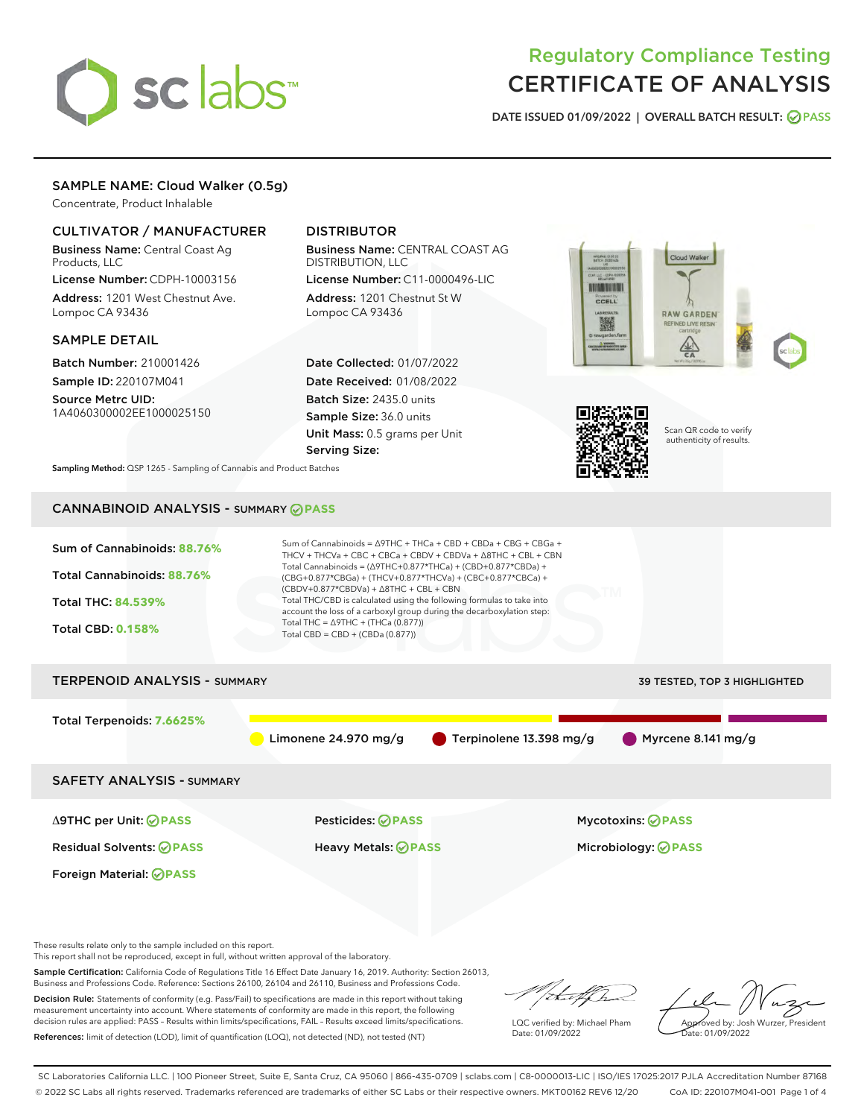

# Regulatory Compliance Testing CERTIFICATE OF ANALYSIS

DATE ISSUED 01/09/2022 | OVERALL BATCH RESULT: @ PASS

# SAMPLE NAME: Cloud Walker (0.5g)

Concentrate, Product Inhalable

# CULTIVATOR / MANUFACTURER

Business Name: Central Coast Ag Products, LLC License Number: CDPH-10003156

Address: 1201 West Chestnut Ave. Lompoc CA 93436

### SAMPLE DETAIL

Batch Number: 210001426 Sample ID: 220107M041

Source Metrc UID: 1A4060300002EE1000025150

# DISTRIBUTOR

Business Name: CENTRAL COAST AG DISTRIBUTION, LLC

License Number: C11-0000496-LIC Address: 1201 Chestnut St W Lompoc CA 93436

Date Collected: 01/07/2022 Date Received: 01/08/2022 Batch Size: 2435.0 units Sample Size: 36.0 units Unit Mass: 0.5 grams per Unit Serving Size:





Scan QR code to verify authenticity of results.

Sampling Method: QSP 1265 - Sampling of Cannabis and Product Batches

# CANNABINOID ANALYSIS - SUMMARY **PASS**



These results relate only to the sample included on this report.

This report shall not be reproduced, except in full, without written approval of the laboratory.

Sample Certification: California Code of Regulations Title 16 Effect Date January 16, 2019. Authority: Section 26013, Business and Professions Code. Reference: Sections 26100, 26104 and 26110, Business and Professions Code.

Decision Rule: Statements of conformity (e.g. Pass/Fail) to specifications are made in this report without taking measurement uncertainty into account. Where statements of conformity are made in this report, the following decision rules are applied: PASS – Results within limits/specifications, FAIL – Results exceed limits/specifications. References: limit of detection (LOD), limit of quantification (LOQ), not detected (ND), not tested (NT)

that f(ha

LQC verified by: Michael Pham Date: 01/09/2022

Approved by: Josh Wurzer, President ate: 01/09/2022

SC Laboratories California LLC. | 100 Pioneer Street, Suite E, Santa Cruz, CA 95060 | 866-435-0709 | sclabs.com | C8-0000013-LIC | ISO/IES 17025:2017 PJLA Accreditation Number 87168 © 2022 SC Labs all rights reserved. Trademarks referenced are trademarks of either SC Labs or their respective owners. MKT00162 REV6 12/20 CoA ID: 220107M041-001 Page 1 of 4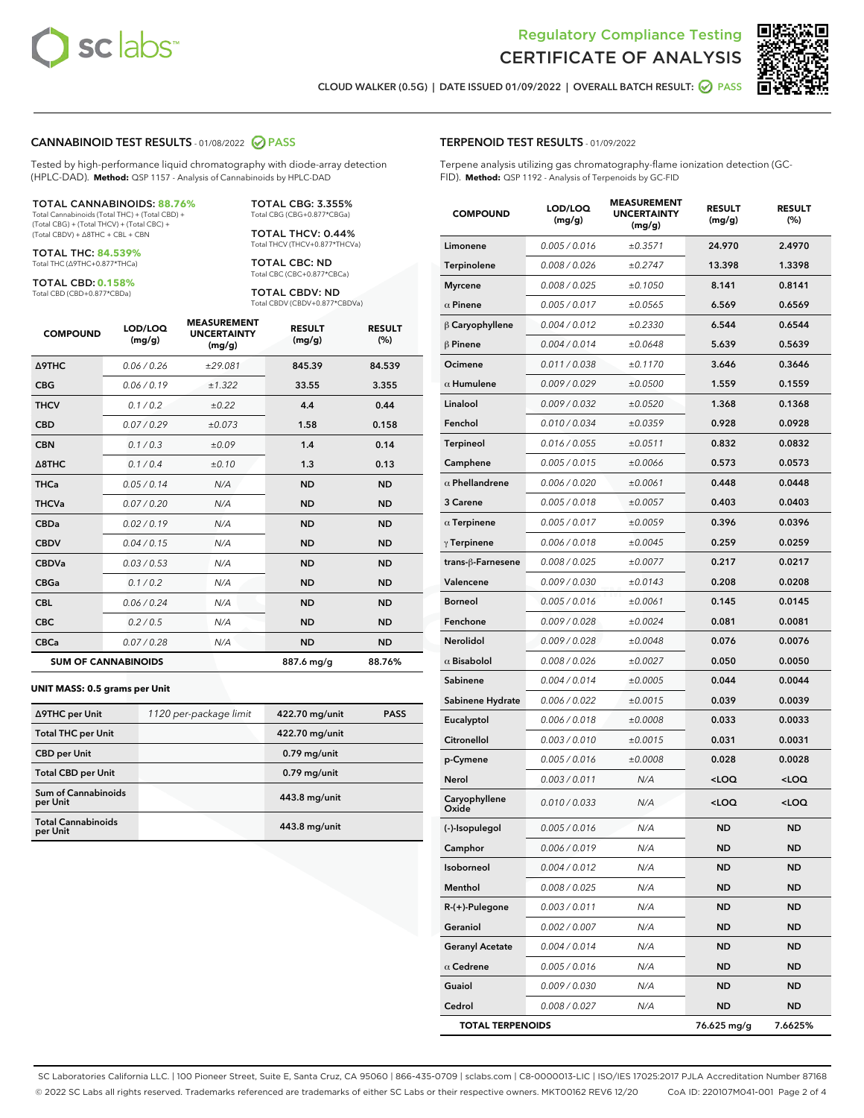



CLOUD WALKER (0.5G) | DATE ISSUED 01/09/2022 | OVERALL BATCH RESULT: **● PASS** 

#### CANNABINOID TEST RESULTS - 01/08/2022 2 PASS

Tested by high-performance liquid chromatography with diode-array detection (HPLC-DAD). **Method:** QSP 1157 - Analysis of Cannabinoids by HPLC-DAD

#### TOTAL CANNABINOIDS: **88.76%**

Total Cannabinoids (Total THC) + (Total CBD) + (Total CBG) + (Total THCV) + (Total CBC) + (Total CBDV) + ∆8THC + CBL + CBN

TOTAL THC: **84.539%** Total THC (∆9THC+0.877\*THCa)

TOTAL CBD: **0.158%**

Total CBD (CBD+0.877\*CBDa)

TOTAL CBG: 3.355% Total CBG (CBG+0.877\*CBGa)

TOTAL THCV: 0.44% Total THCV (THCV+0.877\*THCVa)

TOTAL CBC: ND Total CBC (CBC+0.877\*CBCa)

TOTAL CBDV: ND Total CBDV (CBDV+0.877\*CBDVa)

| <b>COMPOUND</b>  | LOD/LOQ<br>(mg/g)          | <b>MEASUREMENT</b><br><b>UNCERTAINTY</b><br>(mg/g) | <b>RESULT</b><br>(mg/g) | <b>RESULT</b><br>(%) |
|------------------|----------------------------|----------------------------------------------------|-------------------------|----------------------|
| <b>A9THC</b>     | 0.06 / 0.26                | ±29.081                                            | 845.39                  | 84.539               |
| <b>CBG</b>       | 0.06/0.19                  | ±1.322                                             | 33.55                   | 3.355                |
| <b>THCV</b>      | 0.1 / 0.2                  | ±0.22                                              | 4.4                     | 0.44                 |
| <b>CBD</b>       | 0.07/0.29                  | ±0.073                                             | 1.58                    | 0.158                |
| <b>CBN</b>       | 0.1 / 0.3                  | ±0.09                                              | 1.4                     | 0.14                 |
| $\triangle$ 8THC | 0.1 / 0.4                  | ±0.10                                              | 1.3                     | 0.13                 |
| <b>THCa</b>      | 0.05/0.14                  | N/A                                                | <b>ND</b>               | <b>ND</b>            |
| <b>THCVa</b>     | 0.07/0.20                  | N/A                                                | <b>ND</b>               | <b>ND</b>            |
| <b>CBDa</b>      | 0.02/0.19                  | N/A                                                | <b>ND</b>               | <b>ND</b>            |
| <b>CBDV</b>      | 0.04 / 0.15                | N/A                                                | <b>ND</b>               | <b>ND</b>            |
| <b>CBDVa</b>     | 0.03/0.53                  | N/A                                                | <b>ND</b>               | <b>ND</b>            |
| <b>CBGa</b>      | 0.1 / 0.2                  | N/A                                                | <b>ND</b>               | <b>ND</b>            |
| <b>CBL</b>       | 0.06 / 0.24                | N/A                                                | <b>ND</b>               | <b>ND</b>            |
| <b>CBC</b>       | 0.2 / 0.5                  | N/A                                                | <b>ND</b>               | <b>ND</b>            |
| <b>CBCa</b>      | 0.07/0.28                  | N/A                                                | <b>ND</b>               | <b>ND</b>            |
|                  | <b>SUM OF CANNABINOIDS</b> |                                                    | 887.6 mg/g              | 88.76%               |

#### **UNIT MASS: 0.5 grams per Unit**

| ∆9THC per Unit                         | 1120 per-package limit | 422.70 mg/unit | <b>PASS</b> |
|----------------------------------------|------------------------|----------------|-------------|
| <b>Total THC per Unit</b>              |                        | 422.70 mg/unit |             |
| <b>CBD per Unit</b>                    |                        | $0.79$ mg/unit |             |
| <b>Total CBD per Unit</b>              |                        | $0.79$ mg/unit |             |
| <b>Sum of Cannabinoids</b><br>per Unit |                        | 443.8 mg/unit  |             |
| <b>Total Cannabinoids</b><br>per Unit  |                        | 443.8 mg/unit  |             |

| <b>COMPOUND</b>                     | LOD/LOQ<br>(mg/g) | <b>MEASUREMENT</b><br><b>UNCERTAINTY</b><br>(mq/q) | <b>RESULT</b><br>(mg/g)                          | <b>RESULT</b><br>$(\%)$ |
|-------------------------------------|-------------------|----------------------------------------------------|--------------------------------------------------|-------------------------|
| Limonene                            | 0.005 / 0.016     | ±0.3571                                            | 24.970                                           | 2.4970                  |
| Terpinolene                         | 0.008 / 0.026     | ±0.2747                                            | 13.398                                           | 1.3398                  |
| Myrcene                             | 0.008 / 0.025     | ±0.1050                                            | 8.141                                            | 0.8141                  |
| $\alpha$ Pinene                     | 0.005 / 0.017     | ±0.0565                                            | 6.569                                            | 0.6569                  |
| $\beta$ Caryophyllene               | 0.004 / 0.012     | ±0.2330                                            | 6.544                                            | 0.6544                  |
| $\beta$ Pinene                      | 0.004 / 0.014     | ±0.0648                                            | 5.639                                            | 0.5639                  |
| Ocimene                             | 0.011 / 0.038     | ±0.1170                                            | 3.646                                            | 0.3646                  |
| $\alpha$ Humulene                   | 0.009 / 0.029     | ±0.0500                                            | 1.559                                            | 0.1559                  |
| Linalool                            | 0.009 / 0.032     | ±0.0520                                            | 1.368                                            | 0.1368                  |
| Fenchol                             | 0.010 / 0.034     | ±0.0359                                            | 0.928                                            | 0.0928                  |
| Terpineol                           | 0.016 / 0.055     | ±0.0511                                            | 0.832                                            | 0.0832                  |
| Camphene                            | 0.005 / 0.015     | ±0.0066                                            | 0.573                                            | 0.0573                  |
| $\alpha$ Phellandrene               | 0.006 / 0.020     | ±0.0061                                            | 0.448                                            | 0.0448                  |
| 3 Carene                            | 0.005 / 0.018     | ±0.0057                                            | 0.403                                            | 0.0403                  |
| $\alpha$ Terpinene                  | 0.005 / 0.017     | ±0.0059                                            | 0.396                                            | 0.0396                  |
| $\gamma$ Terpinene                  | 0.006 / 0.018     | ±0.0045                                            | 0.259                                            | 0.0259                  |
| trans-ß-Farnesene                   | 0.008 / 0.025     | ±0.0077                                            | 0.217                                            | 0.0217                  |
| Valencene                           | 0.009 / 0.030     | ±0.0143                                            | 0.208                                            | 0.0208                  |
| <b>Borneol</b>                      | 0.005 / 0.016     | ±0.0061                                            | 0.145                                            | 0.0145                  |
| Fenchone                            | 0.009 / 0.028     | ±0.0024                                            | 0.081                                            | 0.0081                  |
| Nerolidol                           | 0.009 / 0.028     | ±0.0048                                            | 0.076                                            | 0.0076                  |
| $\alpha$ Bisabolol                  | 0.008 / 0.026     | ±0.0027                                            | 0.050                                            | 0.0050                  |
| Sabinene                            | 0.004 / 0.014     | ±0.0005                                            | 0.044                                            | 0.0044                  |
| Sabinene Hydrate                    | 0.006 / 0.022     | ±0.0015                                            | 0.039                                            | 0.0039                  |
| Eucalyptol                          | 0.006 / 0.018     | ±0.0008                                            | 0.033                                            | 0.0033                  |
| Citronellol                         | 0.003 / 0.010     | ±0.0015                                            | 0.031                                            | 0.0031                  |
| p-Cymene                            | 0.005 / 0.016     | ±0.0008                                            | 0.028                                            | 0.0028                  |
| Nerol                               | 0.003 / 0.011     | N/A                                                | <loq< th=""><th><math>&lt;</math>LOQ</th></loq<> | $<$ LOQ                 |
| Caryophyllene<br>Oxide <sup>'</sup> | 0.010 / 0.033     | N/A                                                | <loq< th=""><th><loq< th=""></loq<></th></loq<>  | <loq< th=""></loq<>     |
| (-)-Isopulegol                      | 0.005 / 0.016     | N/A                                                | <b>ND</b>                                        | <b>ND</b>               |
| Camphor                             | 0.006 / 0.019     | N/A                                                | ND                                               | ND                      |
| Isoborneol                          | 0.004 / 0.012     | N/A                                                | <b>ND</b>                                        | ND                      |
| Menthol                             | 0.008 / 0.025     | N/A                                                | ND                                               | ND                      |
| $R-(+)$ -Pulegone                   | 0.003 / 0.011     | N/A                                                | ND                                               | ND                      |
| Geraniol                            | 0.002 / 0.007     | N/A                                                | ND                                               | ND                      |
| <b>Geranyl Acetate</b>              | 0.004 / 0.014     | N/A                                                | ND                                               | ND                      |
| $\alpha$ Cedrene                    | 0.005 / 0.016     | N/A                                                | ND                                               | ND                      |
| Guaiol                              | 0.009 / 0.030     | N/A                                                | ND                                               | ND                      |
| Cedrol                              | 0.008 / 0.027     | N/A                                                | ND                                               | ND                      |
| <b>TOTAL TERPENOIDS</b>             |                   |                                                    | 76.625 mg/g                                      | 7.6625%                 |

SC Laboratories California LLC. | 100 Pioneer Street, Suite E, Santa Cruz, CA 95060 | 866-435-0709 | sclabs.com | C8-0000013-LIC | ISO/IES 17025:2017 PJLA Accreditation Number 87168 © 2022 SC Labs all rights reserved. Trademarks referenced are trademarks of either SC Labs or their respective owners. MKT00162 REV6 12/20 CoA ID: 220107M041-001 Page 2 of 4

# TERPENOID TEST RESULTS - 01/09/2022

Terpene analysis utilizing gas chromatography-flame ionization detection (GC-FID). **Method:** QSP 1192 - Analysis of Terpenoids by GC-FID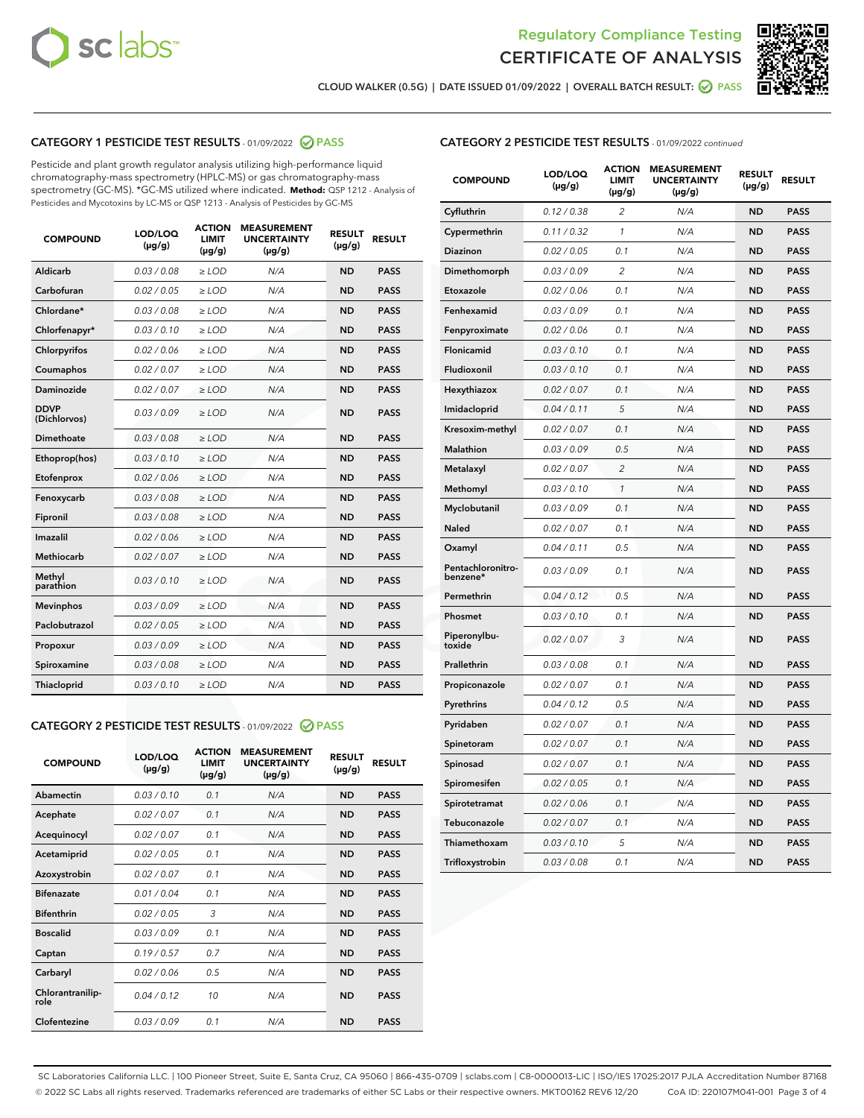



CLOUD WALKER (0.5G) | DATE ISSUED 01/09/2022 | OVERALL BATCH RESULT:  $\bigcirc$  PASS

# CATEGORY 1 PESTICIDE TEST RESULTS - 01/09/2022 2 PASS

Pesticide and plant growth regulator analysis utilizing high-performance liquid chromatography-mass spectrometry (HPLC-MS) or gas chromatography-mass spectrometry (GC-MS). \*GC-MS utilized where indicated. **Method:** QSP 1212 - Analysis of Pesticides and Mycotoxins by LC-MS or QSP 1213 - Analysis of Pesticides by GC-MS

| <b>COMPOUND</b>             | LOD/LOQ<br>$(\mu g/g)$ | <b>ACTION</b><br><b>LIMIT</b><br>$(\mu g/g)$ | <b>MEASUREMENT</b><br><b>UNCERTAINTY</b><br>$(\mu g/g)$ | <b>RESULT</b><br>$(\mu g/g)$ | <b>RESULT</b> |
|-----------------------------|------------------------|----------------------------------------------|---------------------------------------------------------|------------------------------|---------------|
| Aldicarb                    | 0.03 / 0.08            | $\geq$ LOD                                   | N/A                                                     | <b>ND</b>                    | <b>PASS</b>   |
| Carbofuran                  | 0.02 / 0.05            | ≥ LOD                                        | N/A                                                     | <b>ND</b>                    | <b>PASS</b>   |
| Chlordane*                  | 0.03 / 0.08            | ≥ LOD                                        | N/A                                                     | <b>ND</b>                    | <b>PASS</b>   |
| Chlorfenapyr*               | 0.03/0.10              | ≥ LOD                                        | N/A                                                     | <b>ND</b>                    | <b>PASS</b>   |
| Chlorpyrifos                | 0.02/0.06              | $>$ LOD                                      | N/A                                                     | <b>ND</b>                    | <b>PASS</b>   |
| Coumaphos                   | 0.02 / 0.07            | $\geq$ LOD                                   | N/A                                                     | <b>ND</b>                    | <b>PASS</b>   |
| Daminozide                  | 0.02/0.07              | $>$ LOD                                      | N/A                                                     | <b>ND</b>                    | <b>PASS</b>   |
| <b>DDVP</b><br>(Dichlorvos) | 0.03/0.09              | $\geq$ LOD                                   | N/A                                                     | <b>ND</b>                    | <b>PASS</b>   |
| <b>Dimethoate</b>           | 0.03/0.08              | $\geq$ LOD                                   | N/A                                                     | <b>ND</b>                    | <b>PASS</b>   |
| Ethoprop(hos)               | 0.03/0.10              | $>$ LOD                                      | N/A                                                     | <b>ND</b>                    | <b>PASS</b>   |
| Etofenprox                  | 0.02 / 0.06            | $\geq$ LOD                                   | N/A                                                     | <b>ND</b>                    | <b>PASS</b>   |
| Fenoxycarb                  | 0.03 / 0.08            | $\geq$ LOD                                   | N/A                                                     | <b>ND</b>                    | <b>PASS</b>   |
| Fipronil                    | 0.03 / 0.08            | $\geq$ LOD                                   | N/A                                                     | <b>ND</b>                    | <b>PASS</b>   |
| Imazalil                    | 0.02 / 0.06            | $>$ LOD                                      | N/A                                                     | <b>ND</b>                    | <b>PASS</b>   |
| <b>Methiocarb</b>           | 0.02 / 0.07            | ≥ LOD                                        | N/A                                                     | <b>ND</b>                    | <b>PASS</b>   |
| Methyl<br>parathion         | 0.03/0.10              | $\geq$ LOD                                   | N/A                                                     | <b>ND</b>                    | <b>PASS</b>   |
| <b>Mevinphos</b>            | 0.03/0.09              | $\geq$ LOD                                   | N/A                                                     | <b>ND</b>                    | <b>PASS</b>   |
| Paclobutrazol               | 0.02 / 0.05            | $\geq$ LOD                                   | N/A                                                     | <b>ND</b>                    | <b>PASS</b>   |
| Propoxur                    | 0.03/0.09              | $>$ LOD                                      | N/A                                                     | <b>ND</b>                    | <b>PASS</b>   |
| Spiroxamine                 | 0.03 / 0.08            | $\geq$ LOD                                   | N/A                                                     | <b>ND</b>                    | <b>PASS</b>   |
| Thiacloprid                 | 0.03/0.10              | $\geq$ LOD                                   | N/A                                                     | <b>ND</b>                    | <b>PASS</b>   |
|                             |                        |                                              |                                                         |                              |               |

# CATEGORY 2 PESTICIDE TEST RESULTS - 01/09/2022 2 PASS

| <b>COMPOUND</b>          | LOD/LOQ<br>$(\mu g/g)$ | <b>ACTION</b><br>LIMIT<br>$(\mu g/g)$ | <b>MEASUREMENT</b><br><b>UNCERTAINTY</b><br>$(\mu g/g)$ | <b>RESULT</b><br>$(\mu g/g)$ | <b>RESULT</b> |
|--------------------------|------------------------|---------------------------------------|---------------------------------------------------------|------------------------------|---------------|
| Abamectin                | 0.03/0.10              | 0.1                                   | N/A                                                     | <b>ND</b>                    | <b>PASS</b>   |
| Acephate                 | 0.02/0.07              | 0.1                                   | N/A                                                     | <b>ND</b>                    | <b>PASS</b>   |
| Acequinocyl              | 0.02/0.07              | 0.1                                   | N/A                                                     | <b>ND</b>                    | <b>PASS</b>   |
| Acetamiprid              | 0.02 / 0.05            | 0.1                                   | N/A                                                     | <b>ND</b>                    | <b>PASS</b>   |
| Azoxystrobin             | 0.02/0.07              | 0.1                                   | N/A                                                     | <b>ND</b>                    | <b>PASS</b>   |
| <b>Bifenazate</b>        | 0.01/0.04              | 0.1                                   | N/A                                                     | <b>ND</b>                    | <b>PASS</b>   |
| <b>Bifenthrin</b>        | 0.02 / 0.05            | 3                                     | N/A                                                     | <b>ND</b>                    | <b>PASS</b>   |
| <b>Boscalid</b>          | 0.03/0.09              | 0.1                                   | N/A                                                     | <b>ND</b>                    | <b>PASS</b>   |
| Captan                   | 0.19/0.57              | 0.7                                   | N/A                                                     | <b>ND</b>                    | <b>PASS</b>   |
| Carbaryl                 | 0.02/0.06              | 0.5                                   | N/A                                                     | <b>ND</b>                    | <b>PASS</b>   |
| Chlorantranilip-<br>role | 0.04/0.12              | 10                                    | N/A                                                     | <b>ND</b>                    | <b>PASS</b>   |
| Clofentezine             | 0.03/0.09              | 0.1                                   | N/A                                                     | <b>ND</b>                    | <b>PASS</b>   |

# CATEGORY 2 PESTICIDE TEST RESULTS - 01/09/2022 continued

| <b>COMPOUND</b>               | LOD/LOQ<br>(µg/g) | <b>ACTION</b><br><b>LIMIT</b><br>(µg/g) | <b>MEASUREMENT</b><br><b>UNCERTAINTY</b><br>(µg/g) | <b>RESULT</b><br>(µg/g) | <b>RESULT</b> |
|-------------------------------|-------------------|-----------------------------------------|----------------------------------------------------|-------------------------|---------------|
| Cyfluthrin                    | 0.12 / 0.38       | $\overline{c}$                          | N/A                                                | <b>ND</b>               | <b>PASS</b>   |
| Cypermethrin                  | 0.11/0.32         | 1                                       | N/A                                                | <b>ND</b>               | <b>PASS</b>   |
| <b>Diazinon</b>               | 0.02 / 0.05       | 0.1                                     | N/A                                                | <b>ND</b>               | <b>PASS</b>   |
| Dimethomorph                  | 0.03 / 0.09       | 2                                       | N/A                                                | <b>ND</b>               | <b>PASS</b>   |
| Etoxazole                     | 0.02 / 0.06       | 0.1                                     | N/A                                                | <b>ND</b>               | <b>PASS</b>   |
| Fenhexamid                    | 0.03 / 0.09       | 0.1                                     | N/A                                                | <b>ND</b>               | <b>PASS</b>   |
| Fenpyroximate                 | 0.02 / 0.06       | 0.1                                     | N/A                                                | <b>ND</b>               | <b>PASS</b>   |
| Flonicamid                    | 0.03/0.10         | 0.1                                     | N/A                                                | <b>ND</b>               | <b>PASS</b>   |
| Fludioxonil                   | 0.03 / 0.10       | 0.1                                     | N/A                                                | <b>ND</b>               | <b>PASS</b>   |
| Hexythiazox                   | 0.02 / 0.07       | 0.1                                     | N/A                                                | <b>ND</b>               | <b>PASS</b>   |
| Imidacloprid                  | 0.04 / 0.11       | 5                                       | N/A                                                | <b>ND</b>               | <b>PASS</b>   |
| Kresoxim-methyl               | 0.02 / 0.07       | 0.1                                     | N/A                                                | <b>ND</b>               | <b>PASS</b>   |
| <b>Malathion</b>              | 0.03 / 0.09       | 0.5                                     | N/A                                                | <b>ND</b>               | <b>PASS</b>   |
| Metalaxyl                     | 0.02 / 0.07       | $\overline{c}$                          | N/A                                                | <b>ND</b>               | <b>PASS</b>   |
| Methomyl                      | 0.03 / 0.10       | 1                                       | N/A                                                | <b>ND</b>               | <b>PASS</b>   |
| Myclobutanil                  | 0.03 / 0.09       | 0.1                                     | N/A                                                | <b>ND</b>               | <b>PASS</b>   |
| Naled                         | 0.02 / 0.07       | 0.1                                     | N/A                                                | <b>ND</b>               | <b>PASS</b>   |
| Oxamyl                        | 0.04 / 0.11       | 0.5                                     | N/A                                                | <b>ND</b>               | <b>PASS</b>   |
| Pentachloronitro-<br>benzene* | 0.03 / 0.09       | 0.1                                     | N/A                                                | <b>ND</b>               | <b>PASS</b>   |
| Permethrin                    | 0.04 / 0.12       | 0.5                                     | N/A                                                | <b>ND</b>               | <b>PASS</b>   |
| Phosmet                       | 0.03 / 0.10       | 0.1                                     | N/A                                                | <b>ND</b>               | <b>PASS</b>   |
| Piperonylbu-<br>toxide        | 0.02 / 0.07       | 3                                       | N/A                                                | <b>ND</b>               | <b>PASS</b>   |
| Prallethrin                   | 0.03 / 0.08       | 0.1                                     | N/A                                                | <b>ND</b>               | <b>PASS</b>   |
| Propiconazole                 | 0.02 / 0.07       | 0.1                                     | N/A                                                | <b>ND</b>               | <b>PASS</b>   |
| Pyrethrins                    | 0.04 / 0.12       | 0.5                                     | N/A                                                | ND                      | <b>PASS</b>   |
| Pyridaben                     | 0.02 / 0.07       | 0.1                                     | N/A                                                | <b>ND</b>               | <b>PASS</b>   |
| Spinetoram                    | 0.02 / 0.07       | 0.1                                     | N/A                                                | <b>ND</b>               | <b>PASS</b>   |
| Spinosad                      | 0.02 / 0.07       | 0.1                                     | N/A                                                | <b>ND</b>               | <b>PASS</b>   |
| Spiromesifen                  | 0.02 / 0.05       | 0.1                                     | N/A                                                | <b>ND</b>               | <b>PASS</b>   |
| Spirotetramat                 | 0.02 / 0.06       | 0.1                                     | N/A                                                | <b>ND</b>               | <b>PASS</b>   |
| Tebuconazole                  | 0.02 / 0.07       | 0.1                                     | N/A                                                | <b>ND</b>               | <b>PASS</b>   |
| Thiamethoxam                  | 0.03 / 0.10       | 5                                       | N/A                                                | <b>ND</b>               | <b>PASS</b>   |
| Trifloxystrobin               | 0.03 / 0.08       | 0.1                                     | N/A                                                | <b>ND</b>               | <b>PASS</b>   |

SC Laboratories California LLC. | 100 Pioneer Street, Suite E, Santa Cruz, CA 95060 | 866-435-0709 | sclabs.com | C8-0000013-LIC | ISO/IES 17025:2017 PJLA Accreditation Number 87168 © 2022 SC Labs all rights reserved. Trademarks referenced are trademarks of either SC Labs or their respective owners. MKT00162 REV6 12/20 CoA ID: 220107M041-001 Page 3 of 4